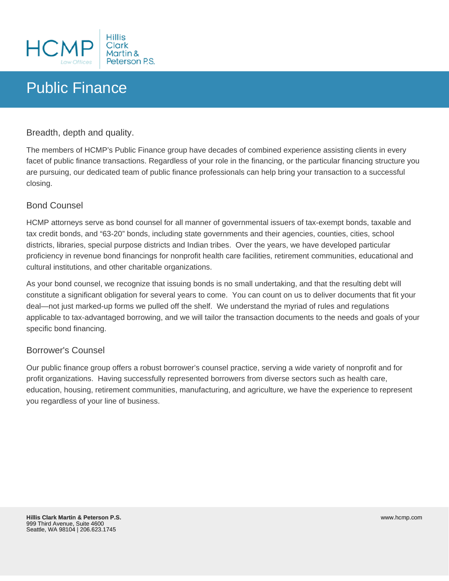

# Public Finance

Breadth, depth and quality.

The members of HCMP's Public Finance group have decades of combined experience assisting clients in every facet of public finance transactions. Regardless of your role in the financing, or the particular financing structure you are pursuing, our dedicated team of public finance professionals can help bring your transaction to a successful closing.

## Bond Counsel

HCMP attorneys serve as bond counsel for all manner of governmental issuers of tax-exempt bonds, taxable and tax credit bonds, and "63-20" bonds, including state governments and their agencies, counties, cities, school districts, libraries, special purpose districts and Indian tribes. Over the years, we have developed particular proficiency in revenue bond financings for nonprofit health care facilities, retirement communities, educational and cultural institutions, and other charitable organizations.

As your bond counsel, we recognize that issuing bonds is no small undertaking, and that the resulting debt will constitute a significant obligation for several years to come. You can count on us to deliver documents that fit your deal—not just marked-up forms we pulled off the shelf. We understand the myriad of rules and regulations applicable to tax-advantaged borrowing, and we will tailor the transaction documents to the needs and goals of your specific bond financing.

## Borrower's Counsel

Our public finance group offers a robust borrower's counsel practice, serving a wide variety of nonprofit and for profit organizations. Having successfully represented borrowers from diverse sectors such as health care, education, housing, retirement communities, manufacturing, and agriculture, we have the experience to represent you regardless of your line of business.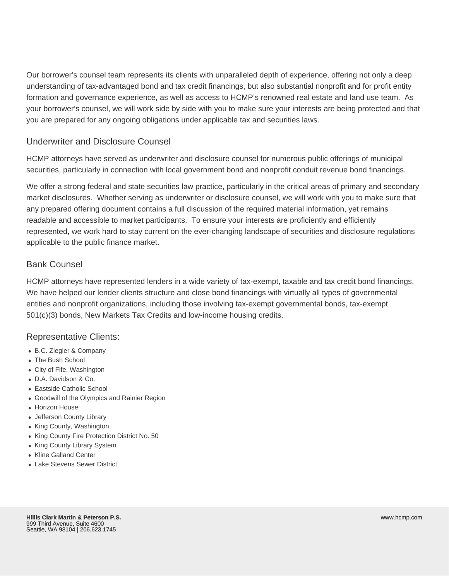Our borrower's counsel team represents its clients with unparalleled depth of experience, offering not only a deep understanding of tax-advantaged bond and tax credit financings, but also substantial nonprofit and for profit entity formation and governance experience, as well as access to HCMP's renowned real estate and land use team. As your borrower's counsel, we will work side by side with you to make sure your interests are being protected and that you are prepared for any ongoing obligations under applicable tax and securities laws.

## Underwriter and Disclosure Counsel

HCMP attorneys have served as underwriter and disclosure counsel for numerous public offerings of municipal securities, particularly in connection with local government bond and nonprofit conduit revenue bond financings.

We offer a strong federal and state securities law practice, particularly in the critical areas of primary and secondary market disclosures. Whether serving as underwriter or disclosure counsel, we will work with you to make sure that any prepared offering document contains a full discussion of the required material information, yet remains readable and accessible to market participants. To ensure your interests are proficiently and efficiently represented, we work hard to stay current on the ever-changing landscape of securities and disclosure regulations applicable to the public finance market.

## Bank Counsel

HCMP attorneys have represented lenders in a wide variety of tax-exempt, taxable and tax credit bond financings. We have helped our lender clients structure and close bond financings with virtually all types of governmental entities and nonprofit organizations, including those involving tax-exempt governmental bonds, tax-exempt 501(c)(3) bonds, New Markets Tax Credits and low-income housing credits.

## Representative Clients:

- B.C. Ziegler & Company
- The Bush School
- City of Fife, Washington
- D.A. Davidson & Co.
- Eastside Catholic School
- Goodwill of the Olympics and Rainier Region
- Horizon House
- Jefferson County Library
- King County, Washington
- King County Fire Protection District No. 50
- King County Library System
- Kline Galland Center
- Lake Stevens Sewer District